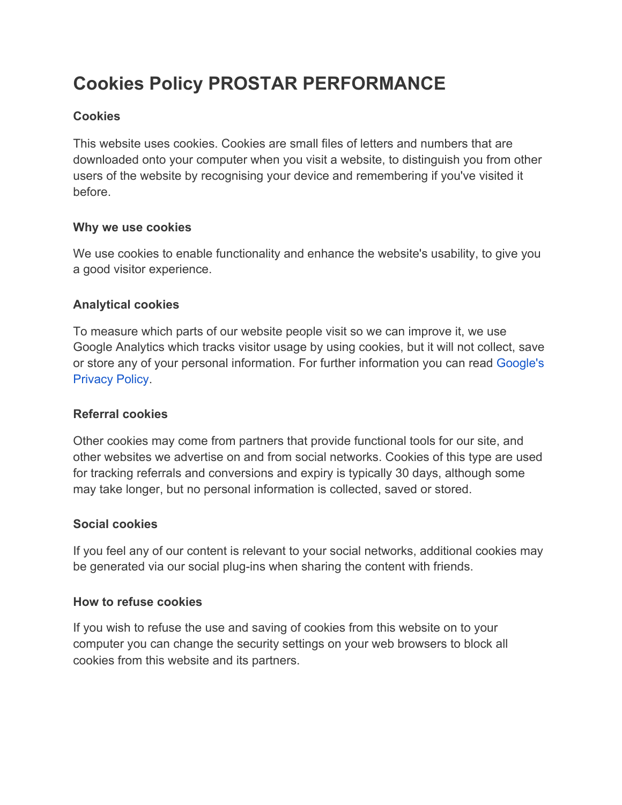# **Cookies Policy PROSTAR PERFORMANCE**

## **Cookies**

This website uses cookies. Cookies are small files of letters and numbers that are downloaded onto your computer when you visit a website, to distinguish you from other users of the website by recognising your device and remembering if you've visited it before.

## **Why we use cookies**

We use cookies to enable functionality and enhance the website's usability, to give you a good visitor experience.

## **Analytical cookies**

To measure which parts of our website people visit so we can improve it, we use Google Analytics which tracks visitor usage by using cookies, but it will not collect, save or store any of your personal information. For further information you can read [Google's](https://policies.google.com/privacy) [Privacy Policy.](https://policies.google.com/privacy)

## **Referral cookies**

Other cookies may come from partners that provide functional tools for our site, and other websites we advertise on and from social networks. Cookies of this type are used for tracking referrals and conversions and expiry is typically 30 days, although some may take longer, but no personal information is collected, saved or stored.

## **Social cookies**

If you feel any of our content is relevant to your social networks, additional cookies may be generated via our social plug-ins when sharing the content with friends.

## **How to refuse cookies**

If you wish to refuse the use and saving of cookies from this website on to your computer you can change the security settings on your web browsers to block all cookies from this website and its partners.